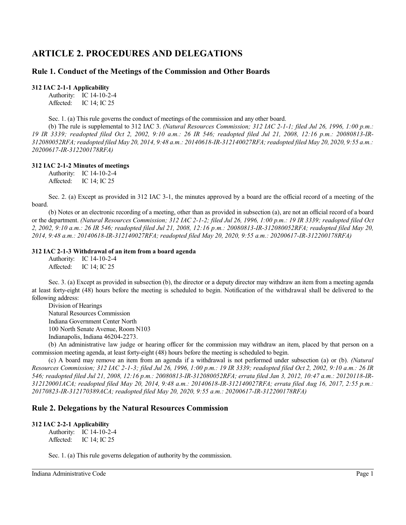# **ARTICLE 2. PROCEDURES AND DELEGATIONS**

# **Rule 1. Conduct of the Meetings of the Commission and Other Boards**

**312 IAC 2-1-1 Applicability**

Authority: IC 14-10-2-4 Affected: IC 14; IC 25

Sec. 1. (a) This rule governs the conduct of meetings of the commission and any other board.

(b) The rule is supplemental to 312 IAC 3. *(Natural Resources Commission; 312 IAC 2-1-1; filed Jul 26, 1996, 1:00 p.m.: 19 IR 3339; readopted filed Oct 2, 2002, 9:10 a.m.: 26 IR 546; readopted filed Jul 21, 2008, 12:16 p.m.: 20080813-IR-312080052RFA; readopted filed May 20, 2014, 9:48 a.m.: 20140618-IR-312140027RFA; readopted filed May 20, 2020, 9:55 a.m.: 20200617-IR-312200178RFA)*

#### **312 IAC 2-1-2 Minutes of meetings**

Authority: IC 14-10-2-4 Affected: IC 14; IC 25

Sec. 2. (a) Except as provided in 312 IAC 3-1, the minutes approved by a board are the official record of a meeting of the board.

(b) Notes or an electronic recording of a meeting, other than as provided in subsection (a), are not an official record of a board or the department. *(Natural Resources Commission; 312 IAC 2-1-2; filed Jul 26, 1996, 1:00 p.m.: 19 IR 3339; readopted filed Oct 2, 2002, 9:10 a.m.: 26 IR 546; readopted filed Jul 21, 2008, 12:16 p.m.: 20080813-IR-312080052RFA; readopted filed May 20, 2014, 9:48 a.m.: 20140618-IR-312140027RFA; readopted filed May 20, 2020, 9:55 a.m.: 20200617-IR-312200178RFA)*

#### **312 IAC 2-1-3 Withdrawal of an item from a board agenda**

Authority: IC 14-10-2-4 Affected: IC 14; IC 25

Sec. 3. (a) Except as provided in subsection (b), the director or a deputy director may withdraw an item from a meeting agenda at least forty-eight (48) hours before the meeting is scheduled to begin. Notification of the withdrawal shall be delivered to the following address:

Division of Hearings Natural Resources Commission Indiana Government Center North 100 North Senate Avenue, Room N103 Indianapolis, Indiana 46204-2273.

(b) An administrative law judge or hearing officer for the commission may withdraw an item, placed by that person on a commission meeting agenda, at least forty-eight (48) hours before the meeting is scheduled to begin.

(c) A board may remove an item from an agenda if a withdrawal is not performed under subsection (a) or (b). *(Natural Resources Commission; 312 IAC 2-1-3; filed Jul 26, 1996, 1:00 p.m.: 19 IR 3339; readopted filed Oct 2, 2002, 9:10 a.m.: 26 IR 546; readopted filed Jul 21, 2008, 12:16 p.m.: 20080813-IR-312080052RFA; errata filed Jan 3, 2012, 10:47 a.m.: 20120118-IR-312120001ACA; readopted filed May 20, 2014, 9:48 a.m.: 20140618-IR-312140027RFA; errata filed Aug 16, 2017, 2:55 p.m.: 20170823-IR-312170389ACA; readopted filed May 20, 2020, 9:55 a.m.: 20200617-IR-312200178RFA)*

## **Rule 2. Delegations by the Natural Resources Commission**

#### **312 IAC 2-2-1 Applicability**

Authority: IC 14-10-2-4 Affected: IC 14; IC 25

Sec. 1. (a) This rule governs delegation of authority by the commission.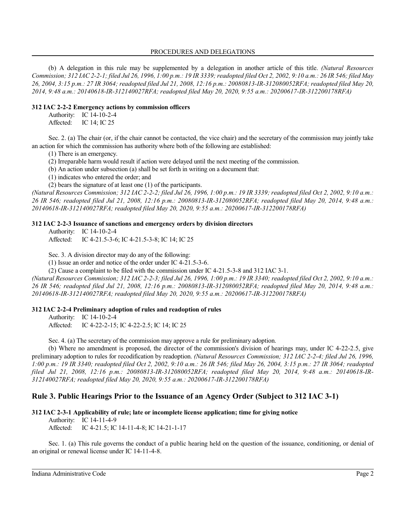#### PROCEDURES AND DELEGATIONS

(b) A delegation in this rule may be supplemented by a delegation in another article of this title. *(Natural Resources Commission; 312 IAC 2-2-1; filed Jul 26, 1996, 1:00 p.m.: 19 IR 3339; readopted filed Oct 2, 2002, 9:10 a.m.: 26 IR 546; filed May 26, 2004, 3:15 p.m.: 27 IR 3064; readopted filed Jul 21, 2008, 12:16 p.m.: 20080813-IR-312080052RFA; readopted filed May 20, 2014, 9:48 a.m.: 20140618-IR-312140027RFA; readopted filed May 20, 2020, 9:55 a.m.: 20200617-IR-312200178RFA)*

#### **312 IAC 2-2-2 Emergency actions by commission officers**

Authority: IC 14-10-2-4 Affected: IC 14; IC 25

Sec. 2. (a) The chair (or, if the chair cannot be contacted, the vice chair) and the secretary of the commission may jointly take an action for which the commission has authority where both of the following are established:

(1) There is an emergency.

(2) Irreparable harm would result if action were delayed until the next meeting of the commission.

(b) An action under subsection (a) shall be set forth in writing on a document that:

(1) indicates who entered the order; and

(2) bears the signature of at least one (1) of the participants.

*(Natural Resources Commission; 312 IAC 2-2-2; filed Jul 26, 1996, 1:00 p.m.: 19 IR 3339; readopted filed Oct 2, 2002, 9:10 a.m.: 26 IR 546; readopted filed Jul 21, 2008, 12:16 p.m.: 20080813-IR-312080052RFA; readopted filed May 20, 2014, 9:48 a.m.: 20140618-IR-312140027RFA; readopted filed May 20, 2020, 9:55 a.m.: 20200617-IR-312200178RFA)*

#### **312 IAC 2-2-3 Issuance of sanctions and emergency orders by division directors**

Authority: IC 14-10-2-4

Affected: IC 4-21.5-3-6; IC 4-21.5-3-8; IC 14; IC 25

Sec. 3. A division director may do any of the following:

(1) Issue an order and notice of the order under IC 4-21.5-3-6.

(2) Cause a complaint to be filed with the commission under IC 4-21.5-3-8 and 312 IAC 3-1.

*(Natural Resources Commission; 312 IAC 2-2-3; filed Jul 26, 1996, 1:00 p.m.: 19 IR 3340; readopted filed Oct 2, 2002, 9:10 a.m.: 26 IR 546; readopted filed Jul 21, 2008, 12:16 p.m.: 20080813-IR-312080052RFA; readopted filed May 20, 2014, 9:48 a.m.: 20140618-IR-312140027RFA; readopted filed May 20, 2020, 9:55 a.m.: 20200617-IR-312200178RFA)*

#### **312 IAC 2-2-4 Preliminary adoption of rules and readoption of rules**

Authority: IC 14-10-2-4 Affected: IC 4-22-2-15; IC 4-22-2.5; IC 14; IC 25

Sec. 4. (a) The secretary of the commission may approve a rule for preliminary adoption.

(b) Where no amendment is proposed, the director of the commission's division of hearings may, under IC 4-22-2.5, give preliminary adoption to rules for recodification by readoption. *(Natural Resources Commission; 312 IAC 2-2-4; filed Jul 26, 1996, 1:00 p.m.: 19 IR 3340; readopted filed Oct 2, 2002, 9:10 a.m.: 26 IR 546; filed May 26, 2004, 3:15 p.m.: 27 IR 3064; readopted filed Jul 21, 2008, 12:16 p.m.: 20080813-IR-312080052RFA; readopted filed May 20, 2014, 9:48 a.m.: 20140618-IR-312140027RFA; readopted filed May 20, 2020, 9:55 a.m.: 20200617-IR-312200178RFA)*

## **Rule 3. Public Hearings Prior to the Issuance of an Agency Order (Subject to 312 IAC 3-1)**

#### **312 IAC 2-3-1 Applicability of rule; late or incomplete license application; time for giving notice**

Authority: IC 14-11-4-9

Affected: IC 4-21.5; IC 14-11-4-8; IC 14-21-1-17

Sec. 1. (a) This rule governs the conduct of a public hearing held on the question of the issuance, conditioning, or denial of an original or renewal license under IC 14-11-4-8.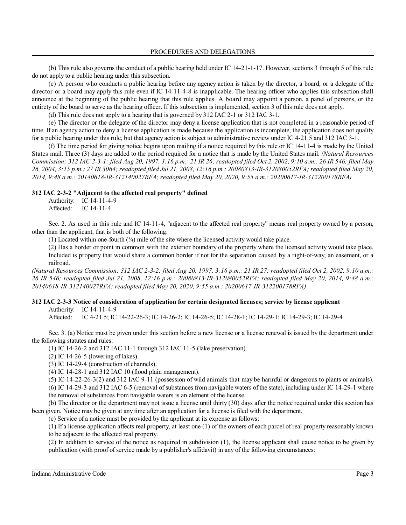(b) This rule also governs the conduct of a public hearing held under IC 14-21-1-17. However, sections 3 through 5 of this rule do not apply to a public hearing under this subsection.

(c) A person who conducts a public hearing before any agency action is taken by the director, a board, or a delegate of the director or a board may apply this rule even if IC 14-11-4-8 is inapplicable. The hearing officer who applies this subsection shall announce at the beginning of the public hearing that this rule applies. A board may appoint a person, a panel of persons, or the entirety of the board to serve as the hearing officer. If this subsection is implemented, section 3 of this rule does not apply.

(d) This rule does not apply to a hearing that is governed by 312 IAC 2-1 or 312 IAC 3-1.

(e) The director or the delegate of the director may deny a license application that is not completed in a reasonable period of time. If an agency action to deny a license application is made because the application is incomplete, the application does not qualify for a public hearing under this rule, but that agency action is subject to administrative review under IC 4-21.5 and 312 IAC 3-1.

(f) The time period for giving notice begins upon mailing if a notice required by this rule or IC 14-11-4 is made by the United States mail. Three (3) days are added to the period required for a notice that is made by the United States mail. *(Natural Resources Commission; 312 IAC 2-3-1; filed Aug 20, 1997, 3:16 p.m.: 21 IR 26; readopted filed Oct 2, 2002, 9:10 a.m.: 26 IR 546; filed May 26, 2004, 3:15 p.m.: 27 IR 3064; readopted filed Jul 21, 2008, 12:16 p.m.: 20080813-IR-312080052RFA; readopted filed May 20, 2014, 9:48 a.m.: 20140618-IR-312140027RFA; readopted filed May 20, 2020, 9:55 a.m.: 20200617-IR-312200178RFA)*

#### **312 IAC 2-3-2 "Adjacent to the affected real property" defined**

Authority: IC 14-11-4-9 Affected: IC 14-11-4

Sec. 2. As used in this rule and IC 14-11-4, "adjacent to the affected real property" means real property owned by a person, other than the applicant, that is both of the following:

(1) Located within one-fourth  $\frac{1}{4}$  mile of the site where the licensed activity would take place.

(2) Has a border or point in common with the exterior boundary of the property where the licensed activity would take place. Included is property that would share a common border if not for the separation caused by a right-of-way, an easement, or a railroad.

*(Natural Resources Commission; 312 IAC 2-3-2; filed Aug 20, 1997, 3:16 p.m.: 21 IR 27; readopted filed Oct 2, 2002, 9:10 a.m.: 26 IR 546; readopted filed Jul 21, 2008, 12:16 p.m.: 20080813-IR-312080052RFA; readopted filed May 20, 2014, 9:48 a.m.: 20140618-IR-312140027RFA; readopted filed May 20, 2020, 9:55 a.m.: 20200617-IR-312200178RFA)*

#### **312 IAC 2-3-3 Notice of consideration of application for certain designated licenses; service by license applicant** Authority: IC 14-11-4-9

Affected: IC 4-21.5; IC 14-22-26-3; IC 14-26-2; IC 14-26-5; IC 14-28-1; IC 14-29-1; IC 14-29-3; IC 14-29-4

Sec. 3. (a) Notice must be given under this section before a new license or a license renewal is issued by the department under the following statutes and rules:

(1) IC 14-26-2 and 312 IAC 11-1 through 312 IAC 11-5 (lake preservation).

(2) IC 14-26-5 (lowering of lakes).

(3) IC 14-29-4 (construction of channels).

(4) IC 14-28-1 and 312 IAC 10 (flood plain management).

(5) IC 14-22-26-3(2) and 312 IAC 9-11 (possession of wild animals that may be harmful or dangerous to plants or animals).

(6) IC 14-29-3 and 312 IAC 6-5 (removal of substances from navigable waters of the state), including under IC 14-29-1 where the removal of substances from navigable waters is an element of the license.

(b) The director or the department may not issue a license until thirty (30) days after the notice required under this section has been given. Notice may be given at any time after an application for a license is filed with the department.

(c) Service of a notice must be provided by the applicant at its expense as follows:

(1) If a license application affects real property, at least one (1) of the owners of each parcel of real property reasonably known to be adjacent to the affected real property.

(2) In addition to service of the notice as required in subdivision (1), the license applicant shall cause notice to be given by publication (with proof of service made by a publisher's affidavit) in any of the following circumstances: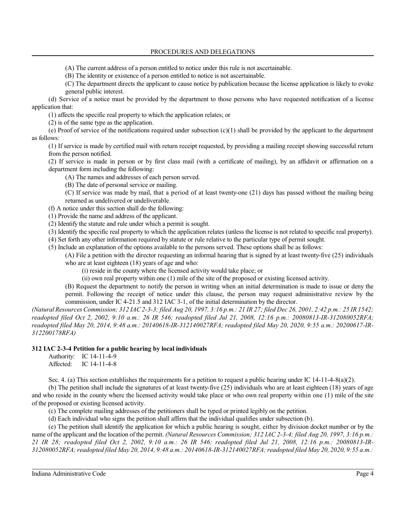(A) The current address of a person entitled to notice under this rule is not ascertainable.

(B) The identity or existence of a person entitled to notice is not ascertainable.

(C) The department directs the applicant to cause notice by publication because the license application is likely to evoke general public interest.

(d) Service of a notice must be provided by the department to those persons who have requested notification of a license application that:

(1) affects the specific real property to which the application relates; or

(2) is of the same type as the application.

(e) Proof of service of the notifications required under subsection (c)(1) shall be provided by the applicant to the department as follows:

(1) If service is made by certified mail with return receipt requested, by providing a mailing receipt showing successful return from the person notified.

(2) If service is made in person or by first class mail (with a certificate of mailing), by an affidavit or affirmation on a department form including the following:

(A) The names and addresses of each person served.

(B) The date of personal service or mailing.

(C) If service was made by mail, that a period of at least twenty-one (21) days has passed without the mailing being returned as undelivered or undeliverable.

(f) A notice under this section shall do the following:

(1) Provide the name and address of the applicant.

(2) Identify the statute and rule under which a permit is sought.

(3) Identify the specific real property to which the application relates (unless the license is not related to specific real property).

(4) Set forth any other information required by statute or rule relative to the particular type of permit sought.

(5) Include an explanation of the options available to the persons served. These options shall be as follows: (A) File a petition with the director requesting an informal hearing that is signed by at least twenty-five (25) individuals

who are at least eighteen (18) years of age and who:

(i) reside in the county where the licensed activity would take place; or

(ii) own real property within one (1) mile of the site of the proposed or existing licensed activity.

(B) Request the department to notify the person in writing when an initial determination is made to issue or deny the permit. Following the receipt of notice under this clause, the person may request administrative review by the commission, under IC 4-21.5 and 312 IAC 3-1, of the initial determination by the director.

*(Natural Resources Commission; 312 IAC2-3-3; filed Aug 20, 1997, 3:16 p.m.: 21 IR 27; filed Dec 26, 2001, 2:42 p.m.: 25 IR 1542; readopted filed Oct 2, 2002, 9:10 a.m.: 26 IR 546; readopted filed Jul 21, 2008, 12:16 p.m.: 20080813-IR-312080052RFA; readopted filed May 20, 2014, 9:48 a.m.: 20140618-IR-312140027RFA; readopted filed May 20, 2020, 9:55 a.m.: 20200617-IR-312200178RFA)*

#### **312 IAC 2-3-4 Petition for a public hearing by local individuals**

Authority: IC 14-11-4-9 Affected: IC 14-11-4-8

Sec. 4. (a) This section establishes the requirements for a petition to request a public hearing under IC 14-11-4-8(a)(2).

(b) The petition shall include the signatures of at least twenty-five (25) individuals who are at least eighteen (18) years of age and who reside in the county where the licensed activity would take place or who own real property within one (1) mile of the site of the proposed or existing licensed activity.

(c) The complete mailing addresses of the petitioners shall be typed or printed legibly on the petition.

(d) Each individual who signs the petition shall affirm that the individual qualifies under subsection (b).

(e) The petition shall identify the application for which a public hearing is sought, either by division docket number or by the name of the applicant and the location of the permit. *(Natural Resources Commission; 312 IAC 2-3-4; filed Aug 20, 1997, 3:16 p.m.: 21 IR 28; readopted filed Oct 2, 2002, 9:10 a.m.: 26 IR 546; readopted filed Jul 21, 2008, 12:16 p.m.: 20080813-IR-312080052RFA; readopted filed May 20, 2014, 9:48 a.m.: 20140618-IR-312140027RFA; readopted filed May 20, 2020, 9:55 a.m.:*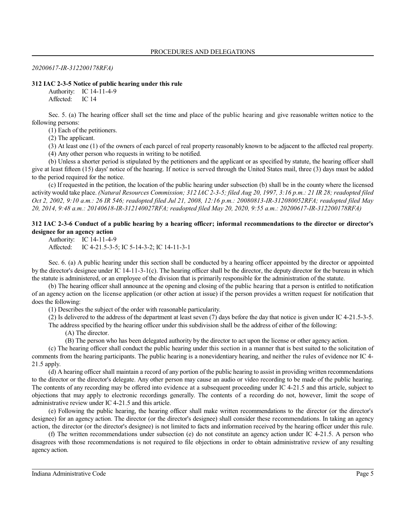*20200617-IR-312200178RFA)*

#### **312 IAC 2-3-5 Notice of public hearing under this rule**

Authority: IC 14-11-4-9

Affected: IC 14

Sec. 5. (a) The hearing officer shall set the time and place of the public hearing and give reasonable written notice to the following persons:

(1) Each of the petitioners.

(2) The applicant.

(3) At least one (1) of the owners of each parcel of real property reasonably known to be adjacent to the affected real property. (4) Any other person who requests in writing to be notified.

(b) Unless a shorter period is stipulated by the petitioners and the applicant or as specified by statute, the hearing officer shall

give at least fifteen (15) days' notice of the hearing. If notice is served through the United States mail, three (3) days must be added to the period required for the notice.

(c) If requested in the petition, the location of the public hearing under subsection (b) shall be in the county where the licensed activity would take place. *(Natural Resources Commission; 312 IAC 2-3-5; filed Aug 20, 1997, 3:16 p.m.: 21 IR 28; readopted filed Oct 2, 2002, 9:10 a.m.: 26 IR 546; readopted filed Jul 21, 2008, 12:16 p.m.: 20080813-IR-312080052RFA; readopted filed May 20, 2014, 9:48 a.m.: 20140618-IR-312140027RFA; readopted filed May 20, 2020, 9:55 a.m.: 20200617-IR-312200178RFA)*

#### **312 IAC 2-3-6 Conduct of a public hearing by a hearing officer; informal recommendations to the director or director's designee for an agency action**

Authority: IC 14-11-4-9 Affected: IC 4-21.5-3-5; IC 5-14-3-2; IC 14-11-3-1

Sec. 6. (a) A public hearing under this section shall be conducted by a hearing officer appointed by the director or appointed by the director's designee under IC 14-11-3-1(c). The hearing officer shall be the director, the deputy director for the bureau in which the statute is administered, or an employee of the division that is primarily responsible for the administration of the statute.

(b) The hearing officer shall announce at the opening and closing of the public hearing that a person is entitled to notification of an agency action on the license application (or other action at issue) if the person provides a written request for notification that does the following:

(1) Describes the subject of the order with reasonable particularity.

(2) Is delivered to the address of the department at least seven (7) days before the day that notice is given under IC 4-21.5-3-5.

The address specified by the hearing officer under this subdivision shall be the address of either of the following:

(A) The director.

(B) The person who has been delegated authority by the director to act upon the license or other agency action.

(c) The hearing officer shall conduct the public hearing under this section in a manner that is best suited to the solicitation of comments from the hearing participants. The public hearing is a nonevidentiary hearing, and neither the rules of evidence nor IC 4- 21.5 apply.

(d) A hearing officer shall maintain a record of any portion ofthe public hearing to assist in providing written recommendations to the director or the director's delegate. Any other person may cause an audio or video recording to be made of the public hearing. The contents of any recording may be offered into evidence at a subsequent proceeding under IC 4-21.5 and this article, subject to objections that may apply to electronic recordings generally. The contents of a recording do not, however, limit the scope of administrative review under IC 4-21.5 and this article.

(e) Following the public hearing, the hearing officer shall make written recommendations to the director (or the director's designee) for an agency action. The director (or the director's designee) shall consider these recommendations. In taking an agency action, the director (or the director's designee) is not limited to facts and information received by the hearing officer under this rule.

(f) The written recommendations under subsection (e) do not constitute an agency action under IC 4-21.5. A person who disagrees with those recommendations is not required to file objections in order to obtain administrative review of any resulting agency action.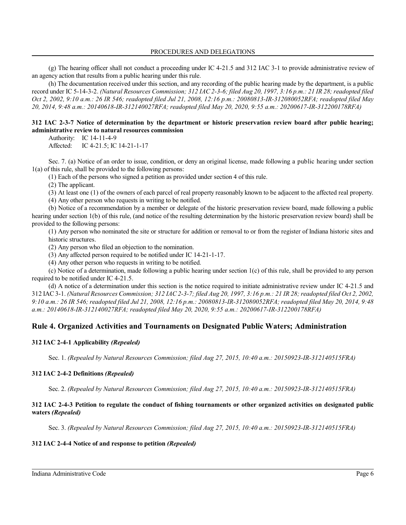#### PROCEDURES AND DELEGATIONS

(g) The hearing officer shall not conduct a proceeding under IC 4-21.5 and 312 IAC 3-1 to provide administrative review of an agency action that results from a public hearing under this rule.

(h) The documentation received under this section, and any recording of the public hearing made by the department, is a public record under IC 5-14-3-2. *(Natural Resources Commission; 312 IAC 2-3-6; filed Aug 20, 1997, 3:16 p.m.: 21 IR 28; readopted filed Oct 2, 2002, 9:10 a.m.: 26 IR 546; readopted filed Jul 21, 2008, 12:16 p.m.: 20080813-IR-312080052RFA; readopted filed May 20, 2014, 9:48 a.m.: 20140618-IR-312140027RFA; readopted filed May 20, 2020, 9:55 a.m.: 20200617-IR-312200178RFA)*

#### **312 IAC 2-3-7 Notice of determination by the department or historic preservation review board after public hearing; administrative review to natural resources commission**

Authority: IC 14-11-4-9

Affected: IC 4-21.5; IC 14-21-1-17

Sec. 7. (a) Notice of an order to issue, condition, or deny an original license, made following a public hearing under section 1(a) of this rule, shall be provided to the following persons:

(1) Each of the persons who signed a petition as provided under section 4 of this rule.

(2) The applicant.

(3) At least one (1) of the owners of each parcel of real property reasonably known to be adjacent to the affected real property.

(4) Any other person who requests in writing to be notified.

(b) Notice of a recommendation by a member or delegate of the historic preservation review board, made following a public hearing under section 1(b) of this rule, (and notice of the resulting determination by the historic preservation review board) shall be provided to the following persons:

(1) Any person who nominated the site or structure for addition or removal to or from the register of Indiana historic sites and historic structures.

(2) Any person who filed an objection to the nomination.

(3) Any affected person required to be notified under IC 14-21-1-17.

(4) Any other person who requests in writing to be notified.

(c) Notice of a determination, made following a public hearing under section 1(c) of this rule, shall be provided to any person required to be notified under IC 4-21.5.

(d) A notice of a determination under this section is the notice required to initiate administrative review under IC 4-21.5 and 312 IAC 3-1. *(Natural Resources Commission; 312 IAC 2-3-7; filed Aug 20, 1997, 3:16 p.m.: 21 IR 28; readopted filed Oct 2, 2002, 9:10 a.m.: 26 IR 546; readopted filed Jul 21, 2008, 12:16 p.m.: 20080813-IR-312080052RFA; readopted filed May 20, 2014, 9:48 a.m.: 20140618-IR-312140027RFA; readopted filed May 20, 2020, 9:55 a.m.: 20200617-IR-312200178RFA)*

# **Rule 4. Organized Activities and Tournaments on Designated Public Waters; Administration**

#### **312 IAC 2-4-1 Applicability** *(Repealed)*

Sec. 1. *(Repealed by Natural Resources Commission; filed Aug 27, 2015, 10:40 a.m.: 20150923-IR-312140515FRA)*

#### **312 IAC 2-4-2 Definitions** *(Repealed)*

Sec. 2. *(Repealed by Natural Resources Commission; filed Aug 27, 2015, 10:40 a.m.: 20150923-IR-312140515FRA)*

#### **312 IAC 2-4-3 Petition to regulate the conduct of fishing tournaments or other organized activities on designated public waters** *(Repealed)*

Sec. 3. *(Repealed by Natural Resources Commission; filed Aug 27, 2015, 10:40 a.m.: 20150923-IR-312140515FRA)*

#### **312 IAC 2-4-4 Notice of and response to petition** *(Repealed)*

Indiana Administrative Code Page 6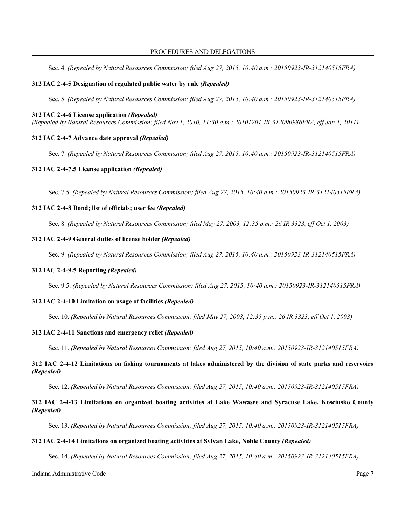Sec. 4. *(Repealed by Natural Resources Commission; filed Aug 27, 2015, 10:40 a.m.: 20150923-IR-312140515FRA)*

#### **312 IAC 2-4-5 Designation of regulated public water by rule** *(Repealed)*

Sec. 5. *(Repealed by Natural Resources Commission; filed Aug 27, 2015, 10:40 a.m.: 20150923-IR-312140515FRA)*

#### **312 IAC 2-4-6 License application** *(Repealed)*

*(Repealed by Natural Resources Commission; filed Nov 1, 2010, 11:30 a.m.: 20101201-IR-312090986FRA, eff Jan 1, 2011)*

## **312 IAC 2-4-7 Advance date approval** *(Repealed)*

Sec. 7. *(Repealed by Natural Resources Commission; filed Aug 27, 2015, 10:40 a.m.: 20150923-IR-312140515FRA)*

#### **312 IAC 2-4-7.5 License application** *(Repealed)*

Sec. 7.5. *(Repealed by Natural Resources Commission; filed Aug 27, 2015, 10:40 a.m.: 20150923-IR-312140515FRA)*

#### **312 IAC 2-4-8 Bond; list of officials; user fee** *(Repealed)*

Sec. 8. *(Repealed by Natural Resources Commission; filed May 27, 2003, 12:35 p.m.: 26 IR 3323, eff Oct 1, 2003)*

## **312 IAC 2-4-9 General duties of license holder** *(Repealed)*

Sec. 9. *(Repealed by Natural Resources Commission; filed Aug 27, 2015, 10:40 a.m.: 20150923-IR-312140515FRA)*

#### **312 IAC 2-4-9.5 Reporting** *(Repealed)*

Sec. 9.5. *(Repealed by Natural Resources Commission; filed Aug 27, 2015, 10:40 a.m.: 20150923-IR-312140515FRA)*

#### **312 IAC 2-4-10 Limitation on usage of facilities** *(Repealed)*

Sec. 10. *(Repealed by Natural Resources Commission; filed May 27, 2003, 12:35 p.m.: 26 IR 3323, eff Oct 1, 2003)*

#### **312 IAC 2-4-11 Sanctions and emergency relief** *(Repealed)*

Sec. 11. *(Repealed by Natural Resources Commission; filed Aug 27, 2015, 10:40 a.m.: 20150923-IR-312140515FRA)*

## **312 IAC 2-4-12 Limitations on fishing tournaments at lakes administered by the division of state parks and reservoirs** *(Repealed)*

Sec. 12. *(Repealed by Natural Resources Commission; filed Aug 27, 2015, 10:40 a.m.: 20150923-IR-312140515FRA)*

## **312 IAC 2-4-13 Limitations on organized boating activities at Lake Wawasee and Syracuse Lake, Kosciusko County** *(Repealed)*

Sec. 13. *(Repealed by Natural Resources Commission; filed Aug 27, 2015, 10:40 a.m.: 20150923-IR-312140515FRA)*

#### **312 IAC 2-4-14 Limitations on organized boating activities at Sylvan Lake, Noble County** *(Repealed)*

Sec. 14. *(Repealed by Natural Resources Commission; filed Aug 27, 2015, 10:40 a.m.: 20150923-IR-312140515FRA)*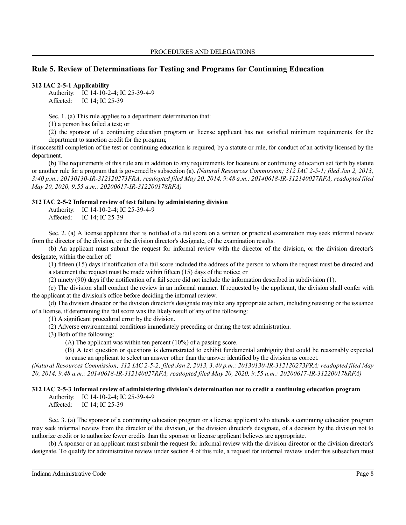# **Rule 5. Review of Determinations for Testing and Programs for Continuing Education**

#### **312 IAC 2-5-1 Applicability**

Authority: IC 14-10-2-4; IC 25-39-4-9 Affected: IC 14; IC 25-39

Sec. 1. (a) This rule applies to a department determination that:

(1) a person has failed a test; or

(2) the sponsor of a continuing education program or license applicant has not satisfied minimum requirements for the department to sanction credit for the program;

if successful completion of the test or continuing education is required, by a statute or rule, for conduct of an activity licensed by the department.

(b) The requirements of this rule are in addition to any requirements for licensure or continuing education set forth by statute or another rule for a program that is governed by subsection (a). *(Natural Resources Commission; 312 IAC 2-5-1; filed Jan 2, 2013, 3:40 p.m.: 20130130-IR-312120273FRA; readopted filed May 20, 2014, 9:48 a.m.: 20140618-IR-312140027RFA; readopted filed May 20, 2020, 9:55 a.m.: 20200617-IR-312200178RFA)*

#### **312 IAC 2-5-2 Informal review of test failure by administering division**

Authority: IC 14-10-2-4; IC 25-39-4-9 Affected: IC 14; IC 25-39

Sec. 2. (a) A license applicant that is notified of a fail score on a written or practical examination may seek informal review from the director of the division, or the division director's designate, of the examination results.

(b) An applicant must submit the request for informal review with the director of the division, or the division director's designate, within the earlier of:

(1) fifteen (15) days if notification of a fail score included the address of the person to whom the request must be directed and a statement the request must be made within fifteen (15) days of the notice; or

(2) ninety (90) days if the notification of a fail score did not include the information described in subdivision (1).

(c) The division shall conduct the review in an informal manner. If requested by the applicant, the division shall confer with the applicant at the division's office before deciding the informal review.

(d) The division director or the division director's designate may take any appropriate action, including retesting or the issuance of a license, if determining the fail score was the likely result of any of the following:

(1) A significant procedural error by the division.

(2) Adverse environmental conditions immediately preceding or during the test administration.

(3) Both of the following:

(A) The applicant was within ten percent (10%) of a passing score.

(B) A test question or questions is demonstrated to exhibit fundamental ambiguity that could be reasonably expected to cause an applicant to select an answer other than the answer identified by the division as correct.

*(Natural Resources Commission; 312 IAC 2-5-2; filed Jan 2, 2013, 3:40 p.m.: 20130130-IR-312120273FRA; readopted filed May 20, 2014, 9:48 a.m.: 20140618-IR-312140027RFA; readopted filed May 20, 2020, 9:55 a.m.: 20200617-IR-312200178RFA)*

#### **312 IAC 2-5-3 Informal review of administering division's determination not to credit a continuing education program**

Authority: IC 14-10-2-4; IC 25-39-4-9 Affected: IC 14; IC 25-39

Sec. 3. (a) The sponsor of a continuing education program or a license applicant who attends a continuing education program may seek informal review from the director of the division, or the division director's designate, of a decision by the division not to authorize credit or to authorize fewer credits than the sponsor or license applicant believes are appropriate.

(b) A sponsor or an applicant must submit the request for informal review with the division director or the division director's designate. To qualify for administrative review under section 4 of this rule, a request for informal review under this subsection must